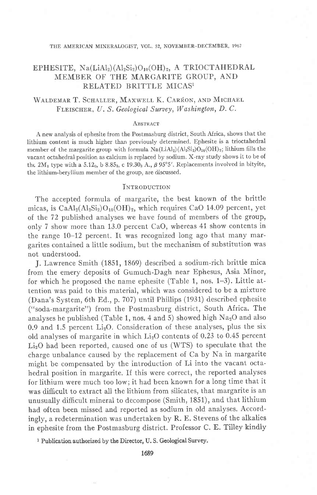#### THE AMERICAN MINERALOGIST, VOL. 52, NOVEMBER-DECEMBER, 1967

# EPHESITE,  $Na(LiAl<sub>2</sub>)(Al<sub>2</sub>Si<sub>2</sub>)O<sub>10</sub>(OH)<sub>2</sub>$ , A TRIOCTAHEDRAL MEMBER OF THE MARGARITE GROUP, AND RELATED BRITTLE MICASI

# WALDEMAR T. SCHALLER, MAXWELL K. CARRON, AND MICHAEL FLEISCHER, U. S. Geological Survey, Washington, D. C.

#### **ABSTRACT**

A new analysis of ephesite from the Postmasburg district, South Africa, shows that the Iithium content is much higher than previously determined. Ephesite is a trioctahedral member of the margarite group with formula  $Na(LiAl<sub>2</sub>)(Al<sub>2</sub>Si<sub>2</sub>)O<sub>10</sub>(OH)<sub>2</sub>; lithium fills the$ vacant octahedral position as calcium is replaced by sodium. X-ray study shows it to be of the  $2M_1$  type with a 5.12<sub>0</sub>, b 8.85<sub>3</sub>, c 19.30<sub>3</sub> A.,  $\beta$  95°5'. Replacements involved in bityite, the lithium-beryllium member of the group, are discussed.

### **INTRODUCTION**

The accepted formula of margarite, the best known of the brittle micas, is  $CaAl<sub>2</sub>(Al<sub>2</sub>Si<sub>2</sub>)O<sub>10</sub>(OH)<sub>2</sub>$ , which requires CaO 14.09 percent, yet of the 72 published analyses we have found of members of the group, only 7 show more than 13.0 percent CaO, whereas 41 show contents in the range 10-12 percent. It was recognized long ago that many margarites contained a little sodium, but the mechanism of substitution was not understood.

J. Lawrence Smith (1851, 1869) described a sodium-rich brittle mica from the emery deposits of Gumuch-Dagh near Ephesus, Asia Minor, for which he proposed the name ephesite (Table 1, nos. 1-3). Little attention was paid to this material, which was considered to be a mixture (Dana's System, 6th Ed., p. 707) until Phillips (1931) described ephesite ("soda-margarite") from the Postmasburg district, South Africa. The analyses he published (Table 1, nos. 4 and 5) showed high  $Na<sub>2</sub>O$  and also 0.9 and 1.5 percent  $Li<sub>2</sub>O$ . Consideration of these analyses, plus the six old analyses of margarite in which  $Li<sub>2</sub>O$  contents of 0.23 to 0.45 percent LizO had been reported, caused one of us (WTS) to speculate that the charge unbalance caused by the replacement of Ca by Na in margarite might be compensated by the introduction of Li into the vacant octahedral position in margarite. If this were correct, the reported analyses for lithium were much too low; it had been known for a long time that it was difficult to extract all the lithium from silicates, that margarite is an unusually difficult mineral to decompose (Smith, 1851), and that lithium had often been missed and reported as sodium in old analyses. Accordingly, a redetermination was undertaken by R. E. Stevens of the alkalies in ephesite from the Postmasburg district. Professor C. E. Tilley kindly

<sup>1</sup> Publication authorized by the Director, U.S. Geological Survey.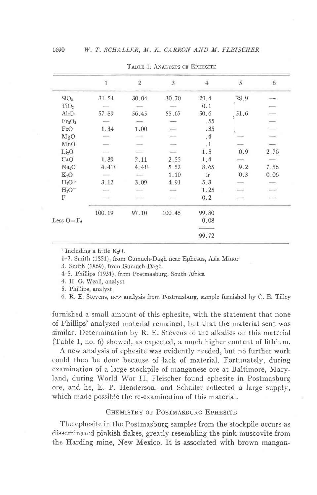|                                | $\mathbf{1}$      | $\overline{2}$           | $\overline{3}$           | 4         | 5    | 6             |
|--------------------------------|-------------------|--------------------------|--------------------------|-----------|------|---------------|
| SiO <sub>2</sub>               | 31.54             | 30.04                    | 30.70                    | 29.4      | 28.9 |               |
| TiO <sub>2</sub>               |                   |                          |                          | 0.1       |      |               |
| $Al_2O_3$                      | 57.89             | 56.45                    | 55.67                    | 50.6      | 51.6 |               |
| Fe <sub>2</sub> O <sub>3</sub> |                   |                          |                          | .55       |      |               |
| FeO                            | 1.34              | 1.00                     | ÷.                       | .35       |      |               |
| MgO                            |                   |                          |                          | .4        |      |               |
| MnO                            |                   | $\overline{\phantom{a}}$ | $\overline{\phantom{a}}$ | $\cdot$ 1 |      |               |
| Li <sub>2</sub> O              |                   | $\overline{\phantom{a}}$ |                          | 1.5       | 0.9  | 2.76          |
| CaO                            | 1.89              | 2.11                     | 2.55                     | 1.4       |      |               |
| Na <sub>2</sub> O              | 4.41 <sup>1</sup> | 4,41 <sup>1</sup>        | 5.52                     | 8.65      | 9.2  | 7.56          |
| $K_2O$                         |                   | $\overline{\phantom{a}}$ | 1.10                     | tr        | 0.3  | 0.06          |
| $H_2O^+$                       | 3.12              | 3.09                     | 4.91                     | 5.3       |      | $\frac{1}{2}$ |
| $H_2O^-$                       |                   | 2                        | $\frac{1}{2}$            | 1.25      |      |               |
| F                              |                   |                          |                          | 0.2       |      |               |
|                                | 100.19            | 97.10                    | 100.45                   | 99.80     |      |               |
| Less $O = F_2$                 |                   |                          |                          | 0.08      |      |               |
|                                |                   |                          |                          |           |      |               |
|                                |                   |                          |                          | 99.72     |      |               |

TABLE 1. ANALYSES OF EPHESITE

<sup>1</sup> Including a little  $K_2O$ .

1-2. Smith (1851), from Gumuch-Dagh near Ephesus, Asia Minor

3. Smith (1869), from Gumuch-Dagh

4-5. Phillips (1931), from Postmasburg, South Africa

4. H. G. Weall, analyst

5. Phillips, analyst

6. R. E. Stevens, new analysis from Postmasburg, sample furnished by C. E. Tilley

furnished a small amount of this ephesite, with the statement that none of Phillips' analyzed material remained, but that the material sent was similar. Determination by R. E. Stevens of the alkalies on this material (Table 1, no. 6) showed, as expected, a much higher content of lithium.

A new analysis of ephesite was evidently needed, but no further work could then be done because of lack of material. Fortunately, during examination of a large stockpile of manganese ore at Baltimore, Maryland, during World War II, Fleischer found ephesite in Postmasburg ore, and he, E. P. Henderson, and Schaller collected a large supply, which made possible the re-examination of this material.

# CHEMISTRY OF POSTMASBURG EPHESITE

The ephesite in the Postmasburg samples from the stockpile occurs as disseminated pinkish flakes, greatly resembling the pink muscovite from the Harding mine, New Mexico. It is associated with brown mangan-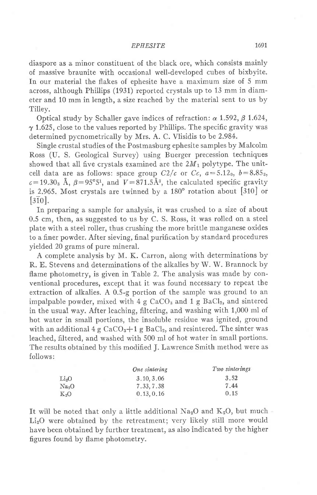## EPHESITE 1691

diaspore as a minor constituent of the black ore, which consists mainly of massive braunite with occasional well-developed cubes of bixbyite. In our material the flakes of ephesite have a maximum size of 5 mm across, although Phillips (1931) reported crystals up to 13 mm in diameter and 10 mm in length, a size reached by the material sent to us by Tilley.

Optical study by Schaller gave indices of refraction:  $\alpha$  1.592,  $\beta$  1.624,  $\gamma$  1.625, close to the values reported by Phillips. The specific gravity was determined pycnometrically by Mrs. A. C. Vlisidis tobe 2.984.

Single crustal studies of the Postmasburg ephesite samples by Malcolm Ross (U. S. Geological Survey) using Buerger precession techniques showed that all five crystals examined are the  $2M_1$  polytype. The unitcell data are as follows: space group  $C2/c$  or  $Cc$ ,  $a=5.12_0$ ,  $b=8.85_3$ ,  $c=19.30$ <sub>3</sub> Å,  $\beta=95^{\circ}5^{\circ}$ , and  $V=871.5\text{\AA}^3$ , the calculated specific gravity is 2.965. Most crystals are twinned by a  $180^\circ$  rotation about [310] or  $\overline{310}$ .

In preparing a sample for analysis, it was crushed to a size of about 0.5 cm, then, as suggested to us by C. S. Ross, it was rolled on a steel plate with a steel roller, thus crushing the more brittle manganese oxides to a finer powder. After sieving, final purification by standard procedures yielded 20 grams of pure mineral.

A complete analysis by M. K. Carron, along with determinations by R. E. Stevens and determinations of the alkalies by W. W. Brannock by flame photometry, is given in Table 2. The analysis was made by conventional procedures, except that it was found necessary to repeat the extraction of alkalies. A 0.5-g portion of the sample was ground to an impalpable powder, mixed with  $4 g CaCO<sub>3</sub>$  and  $1 g BaCl<sub>2</sub>$ , and sintered in the usual way. After leaching, filtering, and washing with 1,000 ml of hot water in small portions, the insoluble residue was ignited, ground with an additional 4 g  $CaCO<sub>3</sub>+1$  g BaCl<sub>2</sub>, and resintered. The sinter was leached, filtered, and washed with 500 ml of hot water in small portions. The results obtained by this modified J. Lawrence Smith method were as follows:

|                   | One sintering | Two sinterings |
|-------------------|---------------|----------------|
| Li <sub>2</sub> O | 3.10, 3.06    | 3.52           |
| Na <sub>2</sub> O | 7.33, 7.38    | 7.44           |
| $K_2O$            | 0, 13, 0, 16  | 0.15           |

It will be noted that only a little additional  $Na<sub>2</sub>O$  and  $K<sub>2</sub>O$ , but much -Li<sub>2</sub>O were obtained by the retreatment; very likely still more would have been obtained by further treatment, as also indicated by the higher figures found by flame photometry.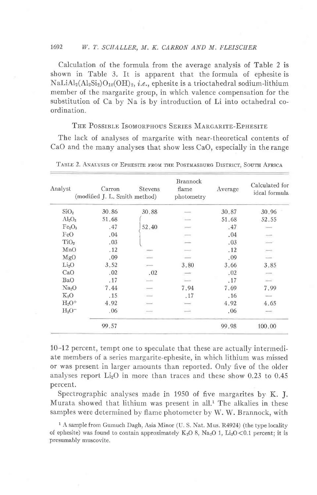## 1692 W. T. SCHALLER, M. K. CARRON AND M. FLEISCHER

Calculation of the formula from the average analysis of Table 2 is shown in Table 3. It is apparent that the formula of ephesite is  $\text{NaLiAl}_{2}(\text{Al}_{2}\text{Si}_{2})\text{O}_{10}(\text{OH})_{2}$ , *i.e.*, ephesite is a trioctahedral sodium-lithium member of the margarite group, in which valence compensation for the substitution of Ca by Na is by introduction of Li into octahedral coordination.

# THE POSSIBLE ISOMORPHOUS SERIES MARGARITE-EPHESITE

The lack of analyses of margarite with near-theoretical contents of CaO and the many analyses that show less CaO, especially in the range

| Analyst                        | Carron<br>(modified J. L. Smith method) | <b>Stevens</b>                                                                                 | <b>Brannock</b><br>flame<br>photometry | Average | Calculated for<br>ideal formula |
|--------------------------------|-----------------------------------------|------------------------------------------------------------------------------------------------|----------------------------------------|---------|---------------------------------|
|                                |                                         |                                                                                                |                                        |         |                                 |
| SiO <sub>2</sub>               | 30.86                                   | 30.88                                                                                          |                                        | 30.87   | 30.96                           |
| $Al_2O_3$                      | 51.68                                   |                                                                                                |                                        | 51.68   | 52.55                           |
| Fe <sub>2</sub> O <sub>3</sub> | .47                                     | 52.40                                                                                          |                                        | .47     |                                 |
| FeO                            | .04                                     |                                                                                                |                                        | .04     | ÷                               |
| TiO <sub>2</sub>               | .03                                     |                                                                                                |                                        | .03     | $-2$                            |
| MnO                            | .12                                     |                                                                                                |                                        | .12     | $\overline{\phantom{m}}$        |
| MgO                            | .09                                     |                                                                                                |                                        | .09     |                                 |
| Li <sub>2</sub> O              | 3.52                                    |                                                                                                | 3.80                                   | 3.66    | 3.85                            |
| CaO                            | .02                                     | .02                                                                                            |                                        | .02     | $\sim$                          |
| BaO                            | .17                                     |                                                                                                |                                        | .17     | ÷                               |
| Na <sub>2</sub> O              | 7.44                                    | $\frac{1}{2} \left( \frac{1}{2} \right) \left( \frac{1}{2} \right) \left( \frac{1}{2} \right)$ | 7.94                                   | 7.69    | 7.99                            |
| $K_2O$                         | .15                                     |                                                                                                | .17                                    | .16     |                                 |
| $H_2O^+$                       | 4.92                                    |                                                                                                |                                        | 4.92    | 4.65                            |
| $H_2O^-$                       | .06                                     |                                                                                                |                                        | .06     | æ                               |
|                                | 99.57                                   |                                                                                                |                                        | 99.98   | 100.00                          |

TABLE 2. ANALYSES OF EPHESITE FROM THE POSTMASBURG DISTRICT, SOUTH AFRICA

10-12 percent, tempt one to speculate that these are actually intermediate members of a series margarite-ephesite, in which lithium was missed or was present in larger amounts than reported. Only five of the older analyses report  $Li<sub>2</sub>O$  in more than traces and these show 0.23 to 0.45 percent.

Spectrographic analyses made in 1950 of five margarites by K. J. Murata showed that lithium was present in all.<sup>1</sup> The alkalies in these samples were determined bv flame photometer by W. W. Brannock, with

<sup>1</sup> A sample from Gumuch Dagh, Asia Minor (U. S. Nat. Mus. R4924) (the type locality of ephesite) was found to contain approximately  $K_2O$  8,  $Na_2O$  1,  $Li_2O < 0.1$  percent; it is presumably muscovite.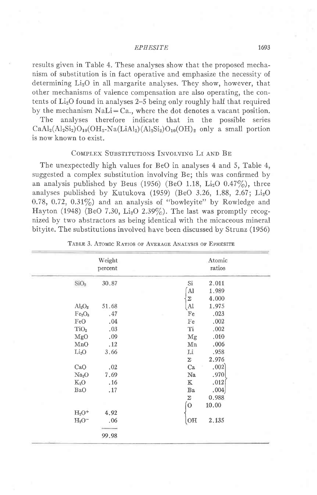#### **EPHESITE**

results given in Table 4. These analyses show that the proposed mechanism of substitution is in fact operative and emphasize the necessity of determining Li<sub>2</sub>O in all margarite analyses. They show, however, that other mechanisms of valence compensation are also operating, the contents of  $Li<sub>2</sub>O$  found in analyses 2–5 being only roughly half that required by the mechanism  $NaLi = Ca$ , where the dot denotes a vacant position.

The analyses therefore indicate that in the possible series  $CaAl<sub>2</sub>(Al<sub>2</sub>Si<sub>2</sub>)O<sub>10</sub>(OH<sub>2</sub>-Na(LiAl<sub>2</sub>)(Al<sub>2</sub>Si<sub>2</sub>)O<sub>10</sub>(OH)<sub>2</sub> only a small portion$ is now known to exist.

## COMPLEX SUBSTITUTIONS INVOLVING LI AND BE

The unexpectedly high values for BeO in analyses 4 and 5, Table 4, suggested a complex substitution involving Be; this was confirmed by an analysis published by Beus (1956) (BeO 1.18, Li<sub>2</sub>O  $0.47\%$ ), three analyses published by Kutukova (1959) (BeO 3.26, 1.88, 2.67;  $Li<sub>2</sub>O$ 0.78, 0.72, 0.31%) and an analysis of "bowleyite" by Rowledge and Hayton (1948) (BeO 7.30, Li<sub>2</sub>O 2.39%). The last was promptly recognized by two abstractors as being identical with the micaceous mineral bityite. The substitutions involved have been discussed by Strunz (1956)

|                                | Weight  | Atomic<br>ratios               |  |  |
|--------------------------------|---------|--------------------------------|--|--|
|                                | percent |                                |  |  |
| SiO <sub>2</sub>               | 30.87   | Si<br>2.011                    |  |  |
|                                |         | Al<br>1.989                    |  |  |
|                                |         | 4.000<br>Σ                     |  |  |
| $Al_2O_3$                      | 51.68   | $\mathbf{A}$<br>1.975          |  |  |
| Fe <sub>2</sub> O <sub>3</sub> | .47     | Fe<br>.023                     |  |  |
| FeO                            | .04     | .002<br>Fe                     |  |  |
| TiO <sub>2</sub>               | .03     | Ti<br>.002                     |  |  |
| MgO                            | .09     | .010<br>Mg                     |  |  |
| MnO                            | .12     | Mn<br>.006                     |  |  |
| Li <sub>2</sub> O              | 3.66    | Li<br>.958                     |  |  |
|                                |         | 2.976<br>Σ                     |  |  |
| CaO                            | .02     | .002]<br>Ca                    |  |  |
| Na <sub>2</sub> O              | 7.69    | .970<br>Na                     |  |  |
| $K_2O$                         | .16     | $\mathbbm{K}$<br>.012          |  |  |
| BaO                            | .17     | .004<br>$\rm Ba$               |  |  |
|                                |         | 0.988<br>$\boldsymbol{\Sigma}$ |  |  |
|                                |         | $\sigma$<br>10.00              |  |  |
| $H_2O^+$                       | 4.92    |                                |  |  |
| $H2O-$                         | .06     | 2.135<br>OH                    |  |  |
|                                |         |                                |  |  |
|                                | 99.98   |                                |  |  |

TABLE 3. ATOMIC RATIOS OF AVERAGE ANALYSIS OF EPHESITE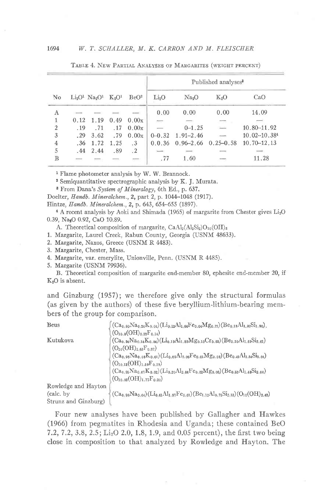### 1694 W. T. SCHALLER, M. K. CARRON AND M. FLEISCHER

|                        |               |                              |                                |                  | Published analyses <sup>3</sup> |                          |               |                                                                                                                                                                                                                                                                                                                                                                                                                                                                            |  |
|------------------------|---------------|------------------------------|--------------------------------|------------------|---------------------------------|--------------------------|---------------|----------------------------------------------------------------------------------------------------------------------------------------------------------------------------------------------------------------------------------------------------------------------------------------------------------------------------------------------------------------------------------------------------------------------------------------------------------------------------|--|
| $\overline{\text{No}}$ |               | $Li_2O^1$ $Na_2O^1$ $K_2O^1$ |                                | BeO <sup>2</sup> | Li <sub>2</sub> O               | Na <sub>2</sub> O        | $K_2O$        | CaO                                                                                                                                                                                                                                                                                                                                                                                                                                                                        |  |
| Ā                      | $\frac{1}{2}$ |                              | $\qquad \qquad \longleftarrow$ |                  | 0.00                            | 0.00                     | 0.00          | 14.09                                                                                                                                                                                                                                                                                                                                                                                                                                                                      |  |
|                        | 0.12          | 1.19                         | 0.49                           | 0.00x            | $\sim$                          | $\overline{\phantom{a}}$ | $-1$          |                                                                                                                                                                                                                                                                                                                                                                                                                                                                            |  |
| $\overline{2}$         | .19           | .71                          | .17                            | 0.00x            |                                 | $0 - 1.25$               | $\sim$        | $10.80 - 11.92$                                                                                                                                                                                                                                                                                                                                                                                                                                                            |  |
| 3                      | $-29$         | 3.62                         | .79                            | 0.00x            | $0 - 0.32$                      | $1.91 - 2.46$            |               | $10.02 - 10.384$                                                                                                                                                                                                                                                                                                                                                                                                                                                           |  |
| 4                      | .36           | 1.72                         | 1.25                           | $\cdot$ 3        | 0.0.36                          | $0.96 - 2.66$            | $0.25 - 0.58$ | $10.70 - 12.13$                                                                                                                                                                                                                                                                                                                                                                                                                                                            |  |
| 5                      | .44           | 2.44                         | .89                            | $\cdot$ 2        |                                 | $\overline{\phantom{a}}$ | -             | $\frac{1}{2} \left( \frac{1}{2} \right) \left( \frac{1}{2} \right) \left( \frac{1}{2} \right) \left( \frac{1}{2} \right) \left( \frac{1}{2} \right) \left( \frac{1}{2} \right) \left( \frac{1}{2} \right) \left( \frac{1}{2} \right) \left( \frac{1}{2} \right) \left( \frac{1}{2} \right) \left( \frac{1}{2} \right) \left( \frac{1}{2} \right) \left( \frac{1}{2} \right) \left( \frac{1}{2} \right) \left( \frac{1}{2} \right) \left( \frac{1}{2} \right) \left( \frac$ |  |
| B                      |               |                              |                                | $\sim$           | .77                             | 1.60                     |               | 11.28                                                                                                                                                                                                                                                                                                                                                                                                                                                                      |  |

TABLE 4. NEW PARTIAL ANALYSES OF MARGARITES (WEIGHT PERCENT)

<sup>1</sup> Flame photometer analysis by W. W. Brannock.

 $2$  Semiquantitative spectrographic analysis by K. J. Murata.

8 From Dana's System of Mineralogy, 6th Ed., p. 637.

Doelter, Handb. Mineralchem., 2, part 2, p. 1044-1048 (1917).

Hintze, Handb. Mineralchem., 2, p. 643, 654-655 (1897).

a A recent analysis by Aoki and Shimada (1965) of margarite from Chester gives LisO 0.39, Na<sub>4</sub>O 0.92, CaO 10.89.

A. Theoretical composition of margarite,  $CaAl<sub>2</sub>(Al<sub>2</sub>Si<sub>2</sub>)O<sub>10</sub>(OH)<sub>2</sub>$ 

1. Margarite, Laurel Creek, Rabun County, Georgia (USNM 48633).

2. Margarite, Naxos, Greece (USNM R 4483).

3. Margarite, Chester, Mass.

4. Margarite, var. emerylite, Unionville, Penn. (USNM R 4485).

5. Margarite (USNM 79936).

B. Theoretical composition of margarite end-member 80, ephesite end-member 20, if  $K<sub>2</sub>O$  is absent.

and Ginzburg (1957); we therefore give only the structural formulas (as given by the authors) of these five beryllium-lithium-bearing members of the group for comparison.

| Beus                 | $(Ca_{0.80}Na_{0.24}K_{0.04})(Li_{0.12}Al_{1.64}Fe_{0.04}Mg_{0.12})(Be_{0.18}Al_{1.92}Si_{1.90}).$  |
|----------------------|-----------------------------------------------------------------------------------------------------|
|                      | $(O_{10.0}(OH)_{2.22}F_{0.14})$                                                                     |
| Kutukova             | $(Ca_{0.94}Na_{0.14}K_{0.04})(Li_{0.19}Al_{1.89}Mg_{0.10}Cr_{0.03})(Be_{0.30}Al_{1.69}Si_{2.01})$   |
|                      | $(O_{10}(OH)_{1.63}F_{0.37})$                                                                       |
|                      | $(Ca_{0.98}Na_{0.08}K_{0.01})(Li_{0.09}Al_{2.06}Fe_{0.01}Mg_{0.08})(Be_{0.42}Al_{1.54}Si_{2.04})$   |
|                      | $(O_{10.13}(OH)_{1.59}F_{0.28})$                                                                    |
|                      | $(Ca_{0.95}Na_{0.07}K_{0.02})(Li_{0.20}Al_{2.06}Fe_{0.02}Mg_{0.06})(Be_{0.52}Al_{1.48}Si_{2.00})$   |
|                      | $(O_{10.03}(OH)_{1.77}F_{0.20})$                                                                    |
| Rowledge and Hayton  |                                                                                                     |
| (calc. by)           | $(Ca_{0.98}Na_{0.04})(Li_{0.61}Al_{1.97}Fe_{0.01})(Be_{1.12}Al_{0.75}Si_{2.13})(O_{10}(OH)_{2.43})$ |
| Strunz and Ginzburg) |                                                                                                     |

Four new analyses have been published by Gallagher and Hawkes (1966) from pegmatites in Rhodesia and Uganda; these contained BeO 7.2, 7.2, 3.8, 2.5; Li<sub>2</sub>O 2.0, 1.8, 1.9, and 0.05 percent), the first two being close in composition to that analyzed by Rowledge and Hayton. The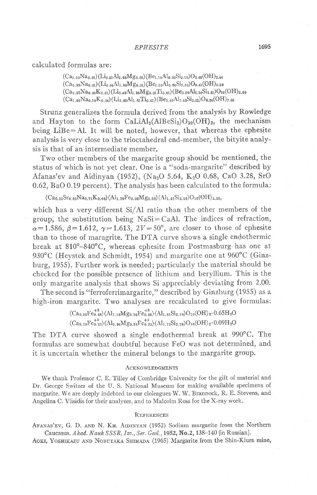calculated formulas are:

 $(Ca_{1.00}Na_{0.01})(Li_{0.51}Al_{1.98}Mg_{0.01})(Be_{1.10}Al_{0.80}Si_{2.10})O_{9.46}(OH)_{2.54}$  $(Ca_{0.99}Na_{0.01})(Li_{0.46}Al_{1.98}Mg_{0.01})(Be_{1.10}Al_{0.80}Si_{2.10})O_{9.41}(OH)_{2.59}$  $(Ca_{0.87}Na_{0.05}K_{0.01})(Li_{0.49}Al_{1.98}Mg_{0.01}Ti_{0.01})(Be_{0.59}Al_{1.10}Si_{2.81})O_{10}(OH)_{2.00}$  $(Ca_{1,00}Na_{0,10}K_{0,04})(Li_{0,02}Al_{1.82}Ti_{0,01})(Be_{0,40}Al_{1,48}Si_{2,12})O_{9,34}(OH)_{2,66}$ 

Strunz generalizes the formula derived from the analysis by Rowledge and Hayton to the form  $\text{CaliAl}_2(\text{AlBeSi}_2)\text{O}_{10}(\text{OH})_2$ , the mechanism being  $LiBe=Al$ . It will be noted, however, that whereas the ephesite analysis is very close to the trioctahedral end-member, the bityite analysis is that of an intermediate member.

Two other members of the margarite group should be mentioned, the status of which is not yet clear. One is a "soda-margarite" described by Afanas'ev and Aidinyan (1952), (Na<sub>2</sub>O 5.64, K<sub>2</sub>O 0.68, CaO 3.28, SrO 0.62,BaO 0.19 percent). The analysis has been calculated to the formula:

 $(Ca_{0.23}Sr_{0.03}Na_{0.71}K_{0.06}) (Al_{1.79}Fe_{0.06}Mg_{0.09}) (Al_{1.41}Si_{2.59})O_{10}(OH)_{1.55}$ 

which has a very different Si/AI ratio than the other members of the group, the substitution being  $NaSi=CaAl$ . The indices of refraction,  $\alpha=1.586, \beta=1.612, \gamma=1.613, 2V=50^{\circ}$ , are closer to those of ephesite than to those of maragrite. The DTA curve shows a single endothermic break at  $810^{\circ}-840^{\circ}$ C, whereas ephesite from Postmasburg has one at 930°C (Heystek and Schmidt, 1954) and margarite one at 960°C (Ginzburg, 1955). Further work is needed; particularly the material should be checked for the possible presence of lithium and beryllium. This is the only margarite analysis that shows Si appreciably deviating from 2.00.

The second is "ferroferrimargarite," described by Ginzburg (1955) as a high-iron margarite. Two analyses are recalculated to give formulas:

> $(\mathrm{Ca}_{0.52}\mathrm{Fe}_{0.48}^{+2})(\mathrm{Al}_{1.18}\mathrm{Mg}_{0.26}\mathrm{Fe}_{0.60}^{+3})(\mathrm{Al}_{1.81}\mathrm{Si}_{2.19})\mathrm{O}_{10}(\mathrm{OH})_2\cdot0.65\mathrm{H}_{2}\mathrm{O}$  $(Ca_{0.78}Fe_{0.22}^{+2})(Al_{0.96}Mg_{0.88}Fe_{0.73}^{+3})(Al_{1.72}Si_{2.28})O_{10}(OH)_2.0.09H_2O$

The DTA curve showed a single endothermal break at 990'C. The formulas are somewhat doubtful because FeO was not determined, and it is uncertain whether the mineral belongs to the margarite group.

### **ACKNOWLEDGMENTS**

We thank Professor C. E. Tilley of Combridge University for the gift of material and Dr. George Switzer of the U. S. National Museum for making available specimens of margarite. We are deeply indebted to our cloleagues W. W. Brannock, R. E. Stevens, and Angelina C. Vlisidis for their analyses, and to Malcolm Ross for the X-ray work.

### REFERENCES

AFANAS'EV, G. D. AND N. KH. AIDINYAN (1952) Sodium margarite from the Northern Caucasus. Akad. Nauk SSSR, Izv., Ser. Geol., 1952, No.2, 138-140 [in Russian].

AOKI, YOSHIKAZU AND NOBUTAKA SHIMADA (1965) Margarite from the Shin-Kiura mine,